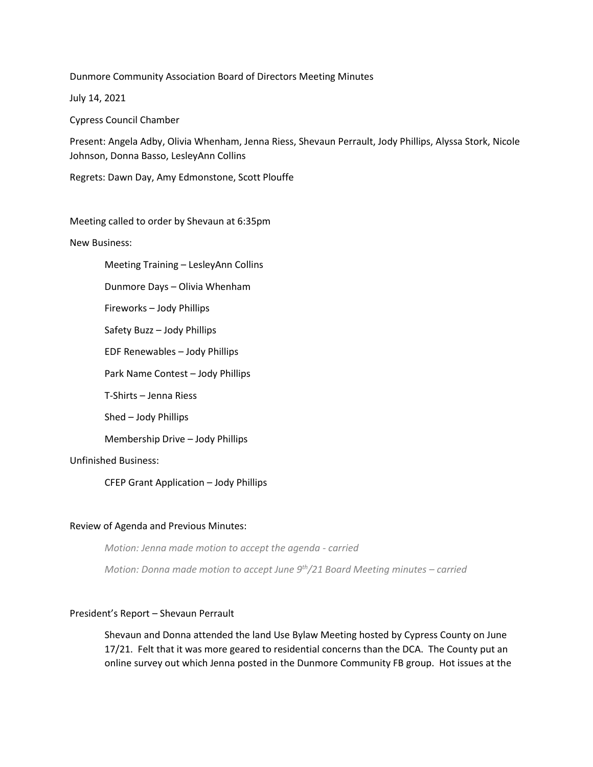Dunmore Community Association Board of Directors Meeting Minutes

July 14, 2021

Cypress Council Chamber

Present: Angela Adby, Olivia Whenham, Jenna Riess, Shevaun Perrault, Jody Phillips, Alyssa Stork, Nicole Johnson, Donna Basso, LesleyAnn Collins

Regrets: Dawn Day, Amy Edmonstone, Scott Plouffe

Meeting called to order by Shevaun at 6:35pm

New Business:

Meeting Training – LesleyAnn Collins

Dunmore Days – Olivia Whenham

Fireworks – Jody Phillips

Safety Buzz – Jody Phillips

EDF Renewables – Jody Phillips

Park Name Contest – Jody Phillips

T-Shirts – Jenna Riess

Shed – Jody Phillips

Membership Drive – Jody Phillips

Unfinished Business:

CFEP Grant Application – Jody Phillips

#### Review of Agenda and Previous Minutes:

*Motion: Jenna made motion to accept the agenda - carried Motion: Donna made motion to accept June 9<sup>th</sup>/21 Board Meeting minutes – carried* 

# President's Report – Shevaun Perrault

Shevaun and Donna attended the land Use Bylaw Meeting hosted by Cypress County on June 17/21. Felt that it was more geared to residential concerns than the DCA. The County put an online survey out which Jenna posted in the Dunmore Community FB group. Hot issues at the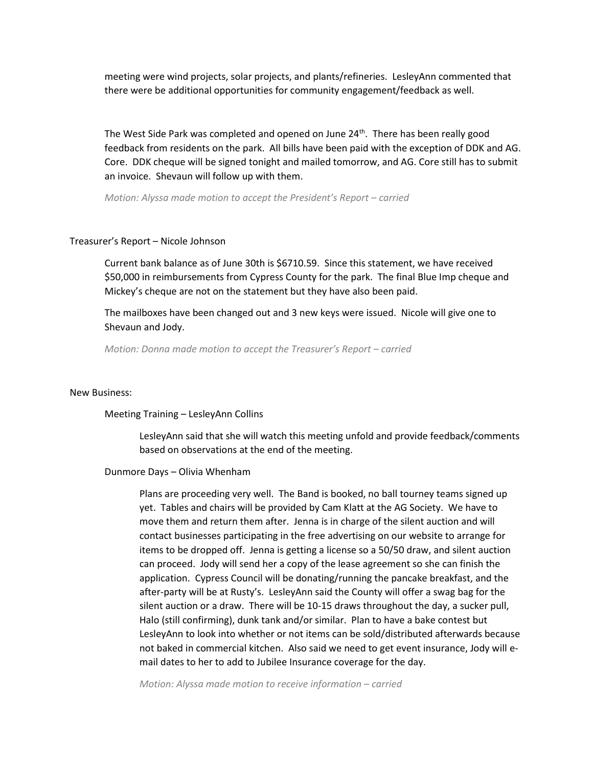meeting were wind projects, solar projects, and plants/refineries. LesleyAnn commented that there were be additional opportunities for community engagement/feedback as well.

The West Side Park was completed and opened on June 24<sup>th</sup>. There has been really good feedback from residents on the park. All bills have been paid with the exception of DDK and AG. Core. DDK cheque will be signed tonight and mailed tomorrow, and AG. Core still has to submit an invoice. Shevaun will follow up with them.

*Motion: Alyssa made motion to accept the President's Report – carried*

# Treasurer's Report – Nicole Johnson

Current bank balance as of June 30th is \$6710.59. Since this statement, we have received \$50,000 in reimbursements from Cypress County for the park. The final Blue Imp cheque and Mickey's cheque are not on the statement but they have also been paid.

The mailboxes have been changed out and 3 new keys were issued. Nicole will give one to Shevaun and Jody.

*Motion: Donna made motion to accept the Treasurer's Report – carried*

# New Business:

# Meeting Training – LesleyAnn Collins

LesleyAnn said that she will watch this meeting unfold and provide feedback/comments based on observations at the end of the meeting.

# Dunmore Days – Olivia Whenham

Plans are proceeding very well. The Band is booked, no ball tourney teams signed up yet. Tables and chairs will be provided by Cam Klatt at the AG Society. We have to move them and return them after. Jenna is in charge of the silent auction and will contact businesses participating in the free advertising on our website to arrange for items to be dropped off. Jenna is getting a license so a 50/50 draw, and silent auction can proceed. Jody will send her a copy of the lease agreement so she can finish the application. Cypress Council will be donating/running the pancake breakfast, and the after-party will be at Rusty's. LesleyAnn said the County will offer a swag bag for the silent auction or a draw. There will be 10-15 draws throughout the day, a sucker pull, Halo (still confirming), dunk tank and/or similar. Plan to have a bake contest but LesleyAnn to look into whether or not items can be sold/distributed afterwards because not baked in commercial kitchen. Also said we need to get event insurance, Jody will email dates to her to add to Jubilee Insurance coverage for the day.

*Motion: Alyssa made motion to receive information – carried*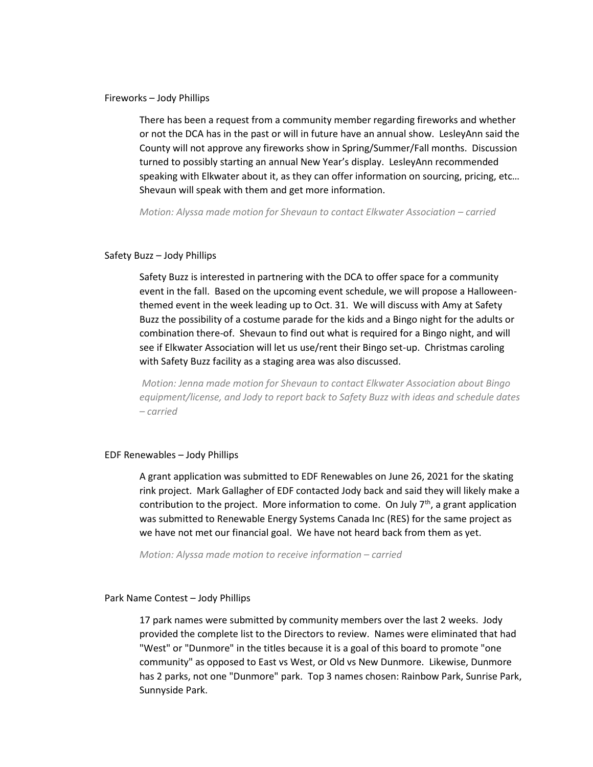#### Fireworks – Jody Phillips

There has been a request from a community member regarding fireworks and whether or not the DCA has in the past or will in future have an annual show. LesleyAnn said the County will not approve any fireworks show in Spring/Summer/Fall months. Discussion turned to possibly starting an annual New Year's display. LesleyAnn recommended speaking with Elkwater about it, as they can offer information on sourcing, pricing, etc… Shevaun will speak with them and get more information.

*Motion: Alyssa made motion for Shevaun to contact Elkwater Association – carried* 

#### Safety Buzz – Jody Phillips

Safety Buzz is interested in partnering with the DCA to offer space for a community event in the fall. Based on the upcoming event schedule, we will propose a Halloweenthemed event in the week leading up to Oct. 31. We will discuss with Amy at Safety Buzz the possibility of a costume parade for the kids and a Bingo night for the adults or combination there-of. Shevaun to find out what is required for a Bingo night, and will see if Elkwater Association will let us use/rent their Bingo set-up. Christmas caroling with Safety Buzz facility as a staging area was also discussed.

*Motion: Jenna made motion for Shevaun to contact Elkwater Association about Bingo equipment/license, and Jody to report back to Safety Buzz with ideas and schedule dates – carried*

# EDF Renewables – Jody Phillips

A grant application was submitted to EDF Renewables on June 26, 2021 for the skating rink project. Mark Gallagher of EDF contacted Jody back and said they will likely make a contribution to the project. More information to come. On July  $7<sup>th</sup>$ , a grant application was submitted to Renewable Energy Systems Canada Inc (RES) for the same project as we have not met our financial goal. We have not heard back from them as yet.

*Motion: Alyssa made motion to receive information – carried* 

#### Park Name Contest – Jody Phillips

17 park names were submitted by community members over the last 2 weeks. Jody provided the complete list to the Directors to review. Names were eliminated that had "West" or "Dunmore" in the titles because it is a goal of this board to promote "one community" as opposed to East vs West, or Old vs New Dunmore. Likewise, Dunmore has 2 parks, not one "Dunmore" park. Top 3 names chosen: Rainbow Park, Sunrise Park, Sunnyside Park.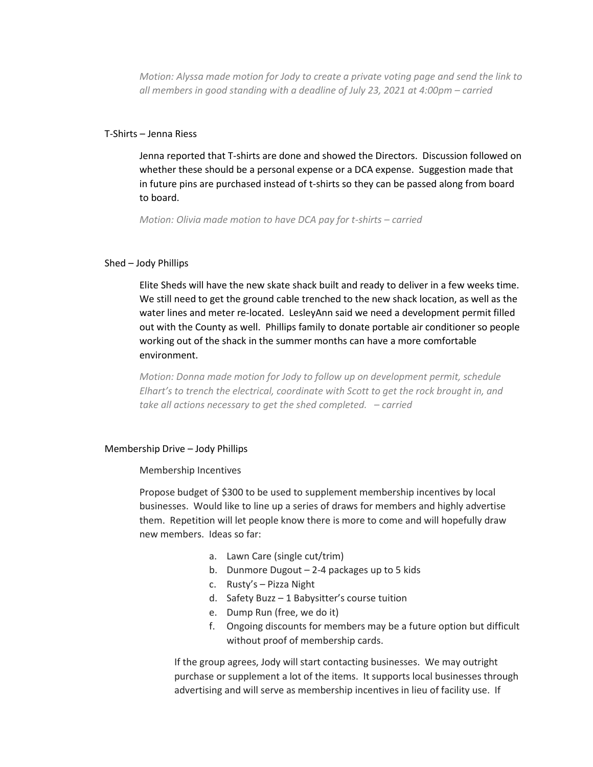*Motion: Alyssa made motion for Jody to create a private voting page and send the link to all members in good standing with a deadline of July 23, 2021 at 4:00pm – carried*

# T-Shirts – Jenna Riess

Jenna reported that T-shirts are done and showed the Directors. Discussion followed on whether these should be a personal expense or a DCA expense. Suggestion made that in future pins are purchased instead of t-shirts so they can be passed along from board to board.

*Motion: Olivia made motion to have DCA pay for t-shirts – carried* 

#### Shed – Jody Phillips

Elite Sheds will have the new skate shack built and ready to deliver in a few weeks time. We still need to get the ground cable trenched to the new shack location, as well as the water lines and meter re-located. LesleyAnn said we need a development permit filled out with the County as well. Phillips family to donate portable air conditioner so people working out of the shack in the summer months can have a more comfortable environment.

*Motion: Donna made motion for Jody to follow up on development permit, schedule Elhart's to trench the electrical, coordinate with Scott to get the rock brought in, and take all actions necessary to get the shed completed. – carried*

#### Membership Drive – Jody Phillips

#### Membership Incentives

Propose budget of \$300 to be used to supplement membership incentives by local businesses. Would like to line up a series of draws for members and highly advertise them. Repetition will let people know there is more to come and will hopefully draw new members. Ideas so far:

- a. Lawn Care (single cut/trim)
- b. Dunmore Dugout 2-4 packages up to 5 kids
- c. Rusty's Pizza Night
- d. Safety Buzz 1 Babysitter's course tuition
- e. Dump Run (free, we do it)
- f. Ongoing discounts for members may be a future option but difficult without proof of membership cards.

If the group agrees, Jody will start contacting businesses. We may outright purchase or supplement a lot of the items. It supports local businesses through advertising and will serve as membership incentives in lieu of facility use. If